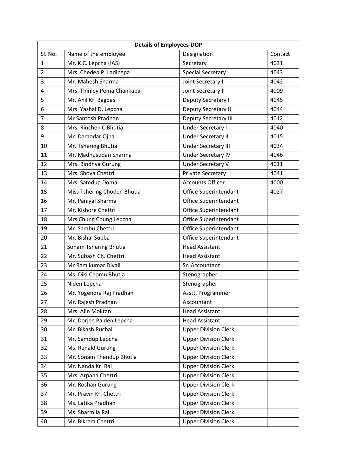| <b>Details of Employees-DOP</b> |                             |                             |         |
|---------------------------------|-----------------------------|-----------------------------|---------|
| Sl. No.                         | Name of the employee        | Designation                 | Contact |
| $\mathbf{1}$                    | Mr. K.C. Lepcha (IAS)       | Secretary                   | 4031    |
| $\overline{2}$                  | Mrs. Cheden P. Ladingpa     | <b>Special Secretary</b>    | 4043    |
| 3                               | Mr. Mahesh Sharma           | Joint Secretary I           | 4042    |
| 4                               | Mrs. Thinley Pema Chankapa  | Joint Secretary II          | 4009    |
| 5                               | Mr. Anil Kr. Bagdas         | Deputy Secretary I          | 4045    |
| 6                               | Mrs. Yashal D. Lepcha       | Deputy Secretary II         | 4044    |
| $\overline{7}$                  | Mr Santosh Pradhan          | Deputy Secretary III        | 4012    |
| 8                               | Mrs. Rinchen C Bhutia       | Under Secretary I           | 4040    |
| 9                               | Mr. Damodar Ojha            | Under Secretary II          | 4015    |
| 10                              | Mr. Tshering Bhutia         | <b>Under Secretary III</b>  | 4034    |
| 11                              | Mr. Madhusudan Sharma       | <b>Under Secretary IV</b>   | 4046    |
| 12                              | Mrs. Bindhya Gurung         | <b>Under Secretary V</b>    | 4011    |
| 13                              | Mrs. Shova Chettri          | Private Secretary           | 4041    |
| 14                              | Mrs. Samdup Doma            | <b>Accounts Officer</b>     | 4000    |
| 15                              | Miss Tshering Choden Bhutia | Office Superintendant       | 4027    |
| 16                              | Mr. Paniyal Sharma          | Office Superintendant       |         |
| 17                              | Mr. Kishore Chettri         | Office Superintendant       |         |
| 18                              | Mrs Chung Chung Lepcha      | Office Superintendant       |         |
| 19                              | Mr. Sambu Chettri           | Office Superintendant       |         |
| 20                              | Mr. Bishal Subba            | Office Superintendant       |         |
| 21                              | Sonam Tshering Bhutia       | <b>Head Assistant</b>       |         |
| 22                              | Mr. Subash Ch. Chettri      | <b>Head Assistant</b>       |         |
| 23                              | Mr Ram kumar Diyali         | Sr. Accountant              |         |
| 24                              | Ms. Diki Chomu Bhutia       | Stenographer                |         |
| 25                              | Niden Lepcha                | Stenographer                |         |
| 26                              | Mr. Yogendra Raj Pradhan    | Asstt. Programmer           |         |
| 27                              | Mr. Rajesh Pradhan          | Accountant                  |         |
| 28                              | Mrs. Alin Moktan            | <b>Head Assistant</b>       |         |
| 29                              | Mr. Dorjee Palden Lepcha    | <b>Head Assistant</b>       |         |
| 30                              | Mr. Bikash Ruchal           | <b>Upper Division Clerk</b> |         |
| 31                              | Mr. Samdup Lepcha           | <b>Upper Division Clerk</b> |         |
| 32                              | Ms. Renald Gurung           | <b>Upper Division Clerk</b> |         |
| 33                              | Mr. Sonam Thendup Bhutia    | <b>Upper Division Clerk</b> |         |
| 34                              | Mr. Nanda Kr. Rai           | <b>Upper Division Clerk</b> |         |
| 35                              | Mrs. Arpana Chettri         | <b>Upper Division Clerk</b> |         |
| 36                              | Mr. Roshan Gurung           | <b>Upper Division Clerk</b> |         |
| 37                              | Mr. Pravin Kr. Chettri      | <b>Upper Division Clerk</b> |         |
| 38                              | Ms. Latika Pradhan          | <b>Upper Division Clerk</b> |         |
| 39                              | Ms. Sharmila Rai            | <b>Upper Division Clerk</b> |         |
| 40                              | Mr. Bikram Chettri          | <b>Upper Division Clerk</b> |         |